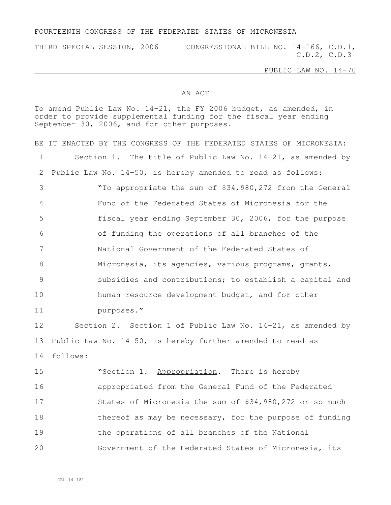## FOURTEENTH CONGRESS OF THE FEDERATED STATES OF MICRONESIA

THIRD SPECIAL SESSION, 2006 CONGRESSIONAL BILL NO. 14-166, C.D.1, C.D.2, C.D.3

PUBLIC LAW NO. 14-70

## AN ACT

To amend Public Law No. 14-21, the FY 2006 budget, as amended, in order to provide supplemental funding for the fiscal year ending September 30, 2006, and for other purposes.

BE IT ENACTED BY THE CONGRESS OF THE FEDERATED STATES OF MICRONESIA: Section 1. The title of Public Law No. 14-21, as amended by Public Law No. 14-50, is hereby amended to read as follows: "To appropriate the sum of \$34,980,272 from the General Fund of the Federated States of Micronesia for the fiscal year ending September 30, 2006, for the purpose of funding the operations of all branches of the National Government of the Federated States of Micronesia, its agencies, various programs, grants, subsidies and contributions; to establish a capital and human resource development budget, and for other purposes." Section 2. Section 1 of Public Law No. 14-21, as amended by Public Law No. 14-50, is hereby further amended to read as follows: "Section 1. Appropriation. There is hereby appropriated from the General Fund of the Federated States of Micronesia the sum of \$34,980,272 or so much 18 thereof as may be necessary, for the purpose of funding the operations of all branches of the National Government of the Federated States of Micronesia, its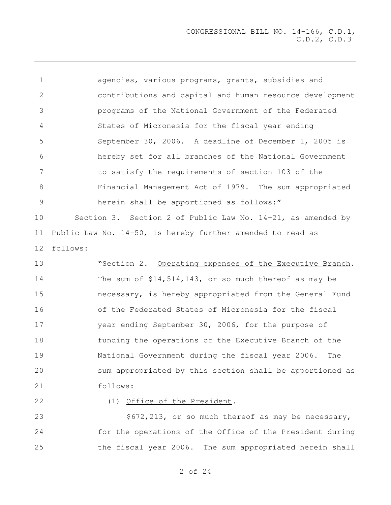agencies, various programs, grants, subsidies and contributions and capital and human resource development programs of the National Government of the Federated States of Micronesia for the fiscal year ending September 30, 2006. A deadline of December 1, 2005 is hereby set for all branches of the National Government to satisfy the requirements of section 103 of the Financial Management Act of 1979. The sum appropriated herein shall be apportioned as follows:" Section 3. Section 2 of Public Law No. 14-21, as amended by Public Law No. 14-50, is hereby further amended to read as follows: "Section 2. Operating expenses of the Executive Branch. The sum of \$14,514,143, or so much thereof as may be necessary, is hereby appropriated from the General Fund of the Federated States of Micronesia for the fiscal year ending September 30, 2006, for the purpose of funding the operations of the Executive Branch of the National Government during the fiscal year 2006. The sum appropriated by this section shall be apportioned as follows: 22 (1) Office of the President. 23 \$672,213, or so much thereof as may be necessary,

 for the operations of the Office of the President during the fiscal year 2006. The sum appropriated herein shall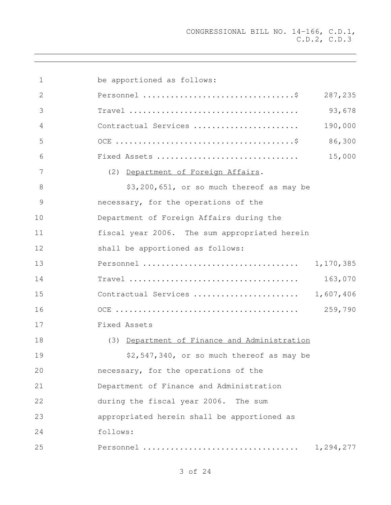| 1              | be apportioned as follows:                                                       |           |
|----------------|----------------------------------------------------------------------------------|-----------|
| $\mathbf{2}$   |                                                                                  | 287,235   |
| 3              |                                                                                  | 93,678    |
| $\overline{4}$ | Contractual Services                                                             | 190,000   |
| 5              |                                                                                  | 86,300    |
| 6              | Fixed Assets                                                                     | 15,000    |
| 7              | (2) Department of Foreign Affairs.                                               |           |
| 8              | \$3,200,651, or so much thereof as may be                                        |           |
| 9              | necessary, for the operations of the                                             |           |
| 10             | Department of Foreign Affairs during the                                         |           |
| 11             | fiscal year 2006. The sum appropriated herein                                    |           |
| 12             | shall be apportioned as follows:                                                 |           |
| 13             |                                                                                  | 1,170,385 |
| 14             | $Travel \dots \dots \dots \dots \dots \dots \dots \dots \dots \dots \dots \dots$ | 163,070   |
| 15             | Contractual Services  1,607,406                                                  |           |
| 16             |                                                                                  | 259,790   |
| 17             | Fixed Assets                                                                     |           |
| 18             | (3) Department of Finance and Administration                                     |           |
| 19             | \$2,547,340, or so much thereof as may be                                        |           |
| 20             | necessary, for the operations of the                                             |           |
| 21             | Department of Finance and Administration                                         |           |
| 22             | during the fiscal year 2006. The sum                                             |           |
| 23             | appropriated herein shall be apportioned as                                      |           |
| 24             | follows:                                                                         |           |
| 25             | Personnel                                                                        | 1,294,277 |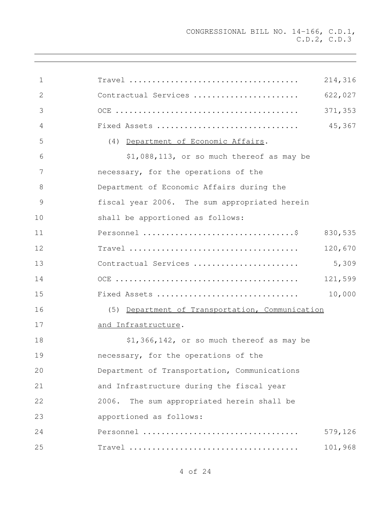| $\mathbf{1}$ |                                                 | 214,316 |
|--------------|-------------------------------------------------|---------|
| 2            | Contractual Services                            | 622,027 |
| 3            |                                                 | 371,353 |
| 4            | Fixed Assets                                    | 45,367  |
| 5            | (4) Department of Economic Affairs.             |         |
| 6            | \$1,088,113, or so much thereof as may be       |         |
| 7            | necessary, for the operations of the            |         |
| 8            | Department of Economic Affairs during the       |         |
| 9            | fiscal year 2006. The sum appropriated herein   |         |
| 10           | shall be apportioned as follows:                |         |
| 11           |                                                 | 830,535 |
| 12           |                                                 | 120,670 |
| 13           | Contractual Services                            | 5,309   |
| 14           |                                                 | 121,599 |
| 15           | Fixed Assets                                    | 10,000  |
| 16           | (5) Department of Transportation, Communication |         |
| 17           | and Infrastructure.                             |         |
| 18           | \$1,366,142, or so much thereof as may be       |         |
| 19           | necessary, for the operations of the            |         |
| 20           | Department of Transportation, Communications    |         |
| 21           | and Infrastructure during the fiscal year       |         |
| 22           | The sum appropriated herein shall be<br>2006.   |         |
| 23           | apportioned as follows:                         |         |
| 24           | Personnel                                       | 579,126 |
| 25           |                                                 | 101,968 |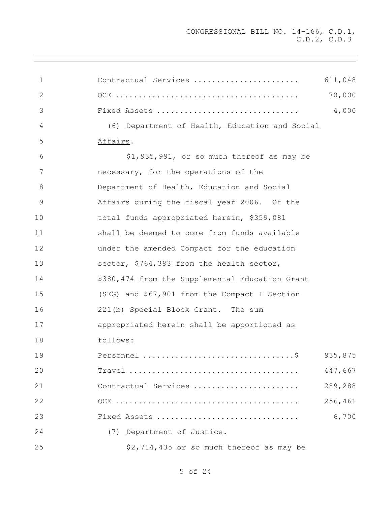| 1  | Contractual Services                            | 611,048 |
|----|-------------------------------------------------|---------|
| 2  |                                                 | 70,000  |
| 3  | Fixed Assets                                    | 4,000   |
| 4  | (6) Department of Health, Education and Social  |         |
| 5  | Affairs.                                        |         |
| 6  | \$1,935,991, or so much thereof as may be       |         |
| 7  | necessary, for the operations of the            |         |
| 8  | Department of Health, Education and Social      |         |
| 9  | Affairs during the fiscal year 2006. Of the     |         |
| 10 | total funds appropriated herein, \$359,081      |         |
| 11 | shall be deemed to come from funds available    |         |
| 12 | under the amended Compact for the education     |         |
| 13 | sector, \$764,383 from the health sector,       |         |
| 14 | \$380,474 from the Supplemental Education Grant |         |
| 15 | (SEG) and \$67,901 from the Compact I Section   |         |
| 16 | 221(b) Special Block Grant. The sum             |         |
| 17 | appropriated herein shall be apportioned as     |         |
| 18 | follows:                                        |         |
| 19 |                                                 | 935,875 |
| 20 |                                                 | 447,667 |
| 21 | Contractual Services                            | 289,288 |
| 22 |                                                 | 256,461 |
| 23 | Fixed Assets                                    | 6,700   |
| 24 | (7) Department of Justice.                      |         |
| 25 | \$2,714,435 or so much thereof as may be        |         |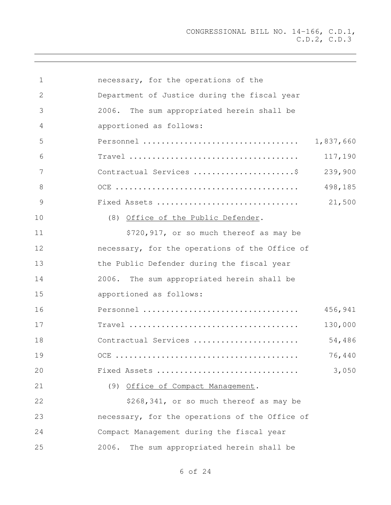| 1  | necessary, for the operations of the           |
|----|------------------------------------------------|
| 2  | Department of Justice during the fiscal year   |
| 3  | 2006.<br>The sum appropriated herein shall be  |
| 4  | apportioned as follows:                        |
| 5  | 1,837,660                                      |
| 6  | 117,190                                        |
| 7  | 239,900<br>Contractual Services \$             |
| 8  | 498,185                                        |
| 9  | 21,500<br>Fixed Assets                         |
| 10 | (8) Office of the Public Defender.             |
| 11 | \$720,917, or so much thereof as may be        |
| 12 | necessary, for the operations of the Office of |
| 13 | the Public Defender during the fiscal year     |
| 14 | 2006. The sum appropriated herein shall be     |
| 15 | apportioned as follows:                        |
| 16 | 456,941<br>Personnel                           |
| 17 | 130,000                                        |
| 18 | 54,486<br>Contractual Services                 |
| 19 | 76,440                                         |
| 20 | 3,050<br>Fixed Assets                          |
| 21 | (9) Office of Compact Management.              |
| 22 | \$268,341, or so much thereof as may be        |
| 23 | necessary, for the operations of the Office of |
| 24 | Compact Management during the fiscal year      |
| 25 | The sum appropriated herein shall be<br>2006.  |
|    |                                                |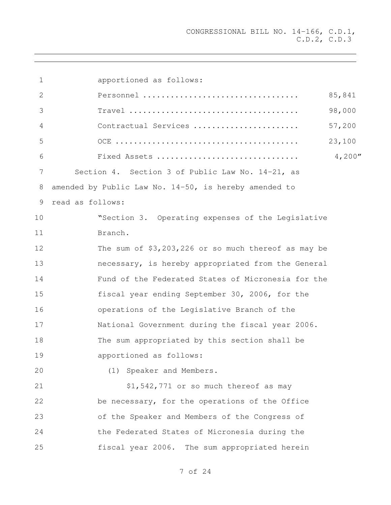| 1  | apportioned as follows:                                                                          |  |
|----|--------------------------------------------------------------------------------------------------|--|
| 2  | 85,841                                                                                           |  |
| 3  | 98,000<br>$Travel \dots \dots \dots \dots \dots \dots \dots \dots \dots \dots \dots \dots \dots$ |  |
| 4  | 57,200<br>Contractual Services                                                                   |  |
| 5  | 23,100                                                                                           |  |
| 6  | 4,200''<br>Fixed Assets                                                                          |  |
| 7  | Section 4. Section 3 of Public Law No. 14-21, as                                                 |  |
| 8  | amended by Public Law No. $14-50$ , is hereby amended to                                         |  |
| 9  | read as follows:                                                                                 |  |
| 10 | "Section 3. Operating expenses of the Legislative                                                |  |
| 11 | Branch.                                                                                          |  |
| 12 | The sum of \$3,203,226 or so much thereof as may be                                              |  |
| 13 | necessary, is hereby appropriated from the General                                               |  |
| 14 | Fund of the Federated States of Micronesia for the                                               |  |
| 15 | fiscal year ending September 30, 2006, for the                                                   |  |
| 16 | operations of the Legislative Branch of the                                                      |  |
| 17 | National Government during the fiscal year 2006.                                                 |  |
| 18 | The sum appropriated by this section shall be                                                    |  |
| 19 | apportioned as follows:                                                                          |  |
| 20 | (1) Speaker and Members.                                                                         |  |
| 21 | \$1,542,771 or so much thereof as may                                                            |  |
| 22 | be necessary, for the operations of the Office                                                   |  |
| 23 | of the Speaker and Members of the Congress of                                                    |  |
| 24 | the Federated States of Micronesia during the                                                    |  |
| 25 | fiscal year 2006. The sum appropriated herein                                                    |  |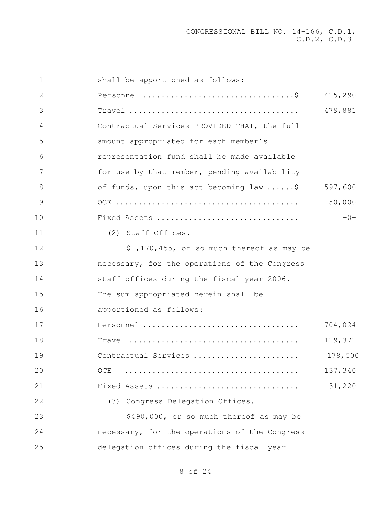| $\mathbf 1$   | shall be apportioned as follows:                                                       |         |
|---------------|----------------------------------------------------------------------------------------|---------|
| 2             |                                                                                        | 415,290 |
| 3             |                                                                                        | 479,881 |
| 4             | Contractual Services PROVIDED THAT, the full                                           |         |
| 5             | amount appropriated for each member's                                                  |         |
| 6             | representation fund shall be made available                                            |         |
| 7             | for use by that member, pending availability                                           |         |
| 8             | of funds, upon this act becoming law \$                                                | 597,600 |
| $\mathcal{G}$ |                                                                                        | 50,000  |
| 10            | Fixed Assets                                                                           | $-0-$   |
| 11            | (2) Staff Offices.                                                                     |         |
| 12            | \$1,170,455, or so much thereof as may be                                              |         |
| 13            | necessary, for the operations of the Congress                                          |         |
| 14            | staff offices during the fiscal year 2006.                                             |         |
| 15            | The sum appropriated herein shall be                                                   |         |
| 16            | apportioned as follows:                                                                |         |
| 17            | Personnel                                                                              | 704,024 |
| 18            | $Travel \dots \dots \dots \dots \dots \dots \dots \dots \dots \dots \dots \dots \dots$ | 119,371 |
| 19            | Contractual Services                                                                   | 178,500 |
| 20            | OCE                                                                                    | 137,340 |
| 21            | Fixed Assets                                                                           | 31,220  |
| 22            | (3) Congress Delegation Offices.                                                       |         |
| 23            | \$490,000, or so much thereof as may be                                                |         |
| 24            | necessary, for the operations of the Congress                                          |         |
| 25            | delegation offices during the fiscal year                                              |         |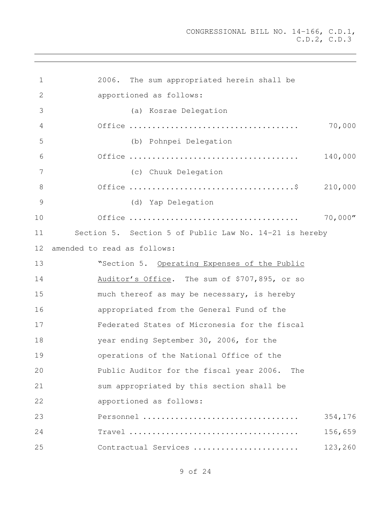| $\mathbf 1$   | 2006. The sum appropriated herein shall be             |
|---------------|--------------------------------------------------------|
| $\mathbf{2}$  | apportioned as follows:                                |
| 3             | (a) Kosrae Delegation                                  |
| 4             | 70,000                                                 |
| 5             | (b) Pohnpei Delegation                                 |
| 6             | 140,000                                                |
| 7             | (c) Chuuk Delegation                                   |
| 8             | 210,000                                                |
| $\mathcal{G}$ | (d) Yap Delegation                                     |
| 10            | 70,000''                                               |
| 11            | Section 5. Section 5 of Public Law No. 14-21 is hereby |
| 12            | amended to read as follows:                            |
| 13            | "Section 5. Operating Expenses of the Public           |
| 14            | Auditor's Office. The sum of \$707,895, or so          |
| 15            | much thereof as may be necessary, is hereby            |
| 16            | appropriated from the General Fund of the              |
| 17            | Federated States of Micronesia for the fiscal          |
| 18            | year ending September 30, 2006, for the                |
| 19            | operations of the National Office of the               |
| 20            | Public Auditor for the fiscal year 2006.<br>The        |
| 21            | sum appropriated by this section shall be              |
| 22            | apportioned as follows:                                |
| 23            | Personnel<br>354,176                                   |
| 24            | 156,659                                                |
| 25            | Contractual Services<br>123,260                        |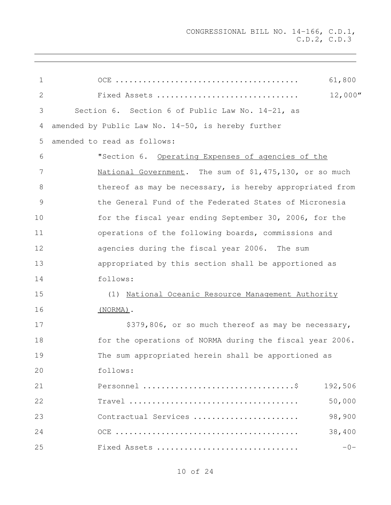| 1  | 61,800                                                   |
|----|----------------------------------------------------------|
| 2  | 12,000''<br>Fixed Assets                                 |
| 3  | Section 6. Section 6 of Public Law No. 14-21, as         |
| 4  | amended by Public Law No. 14-50, is hereby further       |
| 5  | amended to read as follows:                              |
| 6  | "Section 6. Operating Expenses of agencies of the        |
| 7  | National Government. The sum of \$1,475,130, or so much  |
| 8  | thereof as may be necessary, is hereby appropriated from |
| 9  | the General Fund of the Federated States of Micronesia   |
| 10 | for the fiscal year ending September 30, 2006, for the   |
| 11 | operations of the following boards, commissions and      |
| 12 | agencies during the fiscal year 2006. The sum            |
| 13 | appropriated by this section shall be apportioned as     |
| 14 | follows:                                                 |
| 15 | (1) National Oceanic Resource Management Authority       |
| 16 | (NORMA).                                                 |
| 17 | \$379,806, or so much thereof as may be necessary,       |
| 18 | for the operations of NORMA during the fiscal year 2006. |
| 19 | The sum appropriated herein shall be apportioned as      |
| 20 | follows:                                                 |
| 21 | 192,506                                                  |
| 22 | 50,000                                                   |
| 23 | Contractual Services<br>98,900                           |
| 24 | 38,400                                                   |
| 25 | $-0-$<br>Fixed Assets                                    |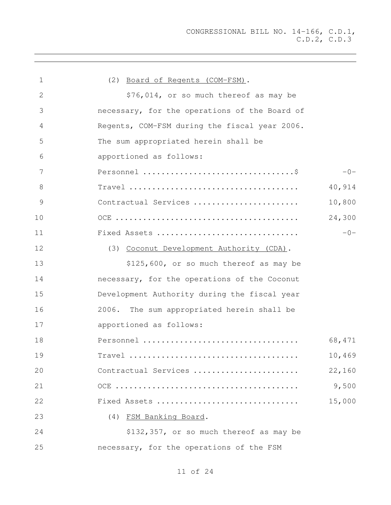| 1  | (2) Board of Regents (COM-FSM).               |
|----|-----------------------------------------------|
| 2  | \$76,014, or so much thereof as may be        |
| 3  | necessary, for the operations of the Board of |
| 4  | Regents, COM-FSM during the fiscal year 2006. |
| 5  | The sum appropriated herein shall be          |
| 6  | apportioned as follows:                       |
| 7  | $-0-$                                         |
| 8  | 40,914                                        |
| 9  | 10,800<br>Contractual Services                |
| 10 | 24,300                                        |
| 11 | $-0-$<br>Fixed Assets                         |
| 12 | (3) Coconut Development Authority (CDA).      |
| 13 | \$125,600, or so much thereof as may be       |
| 14 | necessary, for the operations of the Coconut  |
| 15 | Development Authority during the fiscal year  |
| 16 | The sum appropriated herein shall be<br>2006. |
| 17 | apportioned as follows:                       |
| 18 | 68,471                                        |
| 19 | 10,469                                        |
| 20 | Contractual Services<br>22,160                |
| 21 | 9,500                                         |
| 22 | Fixed Assets<br>15,000                        |
| 23 | (4) FSM Banking Board.                        |
| 24 | \$132,357, or so much thereof as may be       |
| 25 | necessary, for the operations of the FSM      |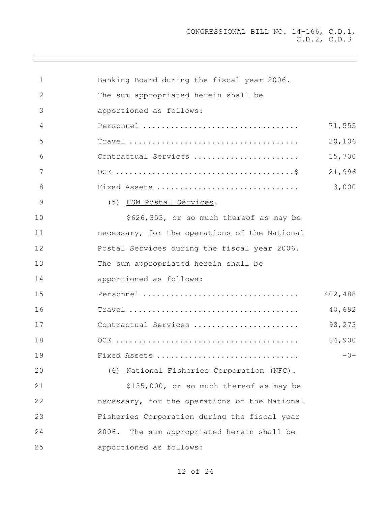| $\mathbf{1}$ | Banking Board during the fiscal year 2006.                                             |         |
|--------------|----------------------------------------------------------------------------------------|---------|
| 2            | The sum appropriated herein shall be                                                   |         |
| 3            | apportioned as follows:                                                                |         |
| 4            | Personnel                                                                              | 71,555  |
| 5            | $Travel \dots \dots \dots \dots \dots \dots \dots \dots \dots \dots \dots \dots \dots$ | 20,106  |
| 6            | Contractual Services                                                                   | 15,700  |
| 7            |                                                                                        | 21,996  |
| 8            | Fixed Assets                                                                           | 3,000   |
| 9            | (5) FSM Postal Services.                                                               |         |
| 10           | \$626,353, or so much thereof as may be                                                |         |
| 11           | necessary, for the operations of the National                                          |         |
| 12           | Postal Services during the fiscal year 2006.                                           |         |
| 13           | The sum appropriated herein shall be                                                   |         |
| 14           | apportioned as follows:                                                                |         |
| 15           | Personnel                                                                              | 402,488 |
| 16           |                                                                                        | 40,692  |
| 17           | Contractual Services                                                                   | 98,273  |
| 18           |                                                                                        | 84,900  |
| 19           | Fixed Assets                                                                           | $-()$   |
| 20           | (6) National Fisheries Corporation (NFC).                                              |         |
| 21           | \$135,000, or so much thereof as may be                                                |         |
| 22           | necessary, for the operations of the National                                          |         |
| 23           | Fisheries Corporation during the fiscal year                                           |         |
| 24           | The sum appropriated herein shall be<br>2006.                                          |         |
| 25           | apportioned as follows:                                                                |         |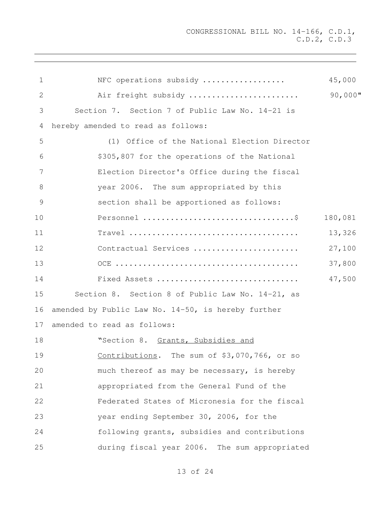| $\mathbf 1$   | NFC operations subsidy                             | 45,000     |
|---------------|----------------------------------------------------|------------|
| 2             | Air freight subsidy                                | $90,000$ " |
| 3             | Section 7. Section 7 of Public Law No. 14-21 is    |            |
| 4             | hereby amended to read as follows:                 |            |
| 5             | (1) Office of the National Election Director       |            |
| 6             | \$305,807 for the operations of the National       |            |
| 7             | Election Director's Office during the fiscal       |            |
| 8             | year 2006. The sum appropriated by this            |            |
| $\mathcal{G}$ | section shall be apportioned as follows:           |            |
| 10            |                                                    | 180,081    |
| 11            |                                                    | 13,326     |
| 12            | Contractual Services                               | 27,100     |
| 13            |                                                    | 37,800     |
| 14            | Fixed Assets                                       | 47,500     |
| 15            | Section 8. Section 8 of Public Law No. 14-21, as   |            |
| 16            | amended by Public Law No. 14-50, is hereby further |            |
| 17            | amended to read as follows:                        |            |
| 18            | "Section 8. Grants, Subsidies and                  |            |
| 19            | Contributions. The sum of \$3,070,766, or so       |            |
| 20            | much thereof as may be necessary, is hereby        |            |
| 21            | appropriated from the General Fund of the          |            |
| 22            | Federated States of Micronesia for the fiscal      |            |
| 23            | year ending September 30, 2006, for the            |            |
| 24            | following grants, subsidies and contributions      |            |
| 25            | during fiscal year 2006. The sum appropriated      |            |
|               |                                                    |            |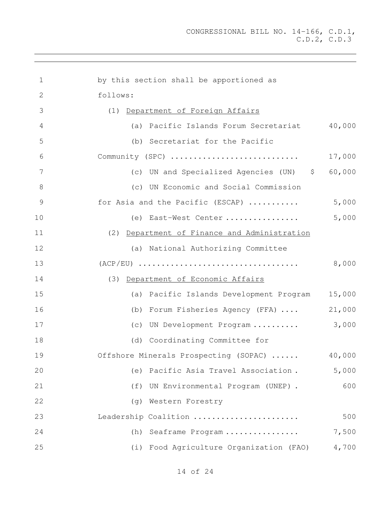| 1  | by this section shall be apportioned as             |
|----|-----------------------------------------------------|
| 2  | follows:                                            |
| 3  | (1) Department of Foreign Affairs                   |
| 4  | 40,000<br>(a) Pacific Islands Forum Secretariat     |
| 5  | (b) Secretariat for the Pacific                     |
| 6  | 17,000<br>Community (SPC)                           |
| 7  | 60,000<br>(c) UN and Specialized Agencies (UN) \$   |
| 8  | (c) UN Economic and Social Commission               |
| 9  | 5,000<br>for Asia and the Pacific (ESCAP)           |
| 10 | 5,000<br>(e) East-West Center                       |
| 11 | (2) Department of Finance and Administration        |
| 12 | (a) National Authorizing Committee                  |
| 13 | 8,000                                               |
| 14 | (3) Department of Economic Affairs                  |
| 15 | 15,000<br>(a) Pacific Islands Development Program   |
| 16 | 21,000<br>(b) Forum Fisheries Agency (FFA)          |
| 17 | 3,000<br>(c) UN Development Program                 |
| 18 | (d) Coordinating Committee for                      |
| 19 | 40,000<br>Offshore Minerals Prospecting (SOPAC)     |
| 20 | 5,000<br>Pacific Asia Travel Association.<br>(e)    |
| 21 | 600<br>(f)<br>UN Environmental Program (UNEP) .     |
| 22 | Western Forestry<br>(q)                             |
| 23 | 500<br>Leadership Coalition                         |
| 24 | 7,500<br>Seaframe Program<br>(h)                    |
| 25 | Food Agriculture Organization (FAO)<br>4,700<br>(i) |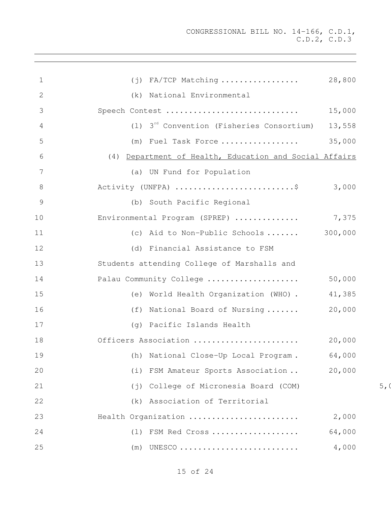| $\mathbf 1$     | $(j)$ FA/TCP Matching  28,800                                          |        |
|-----------------|------------------------------------------------------------------------|--------|
| 2               | (k) National Environmental                                             |        |
| 3               | Speech Contest                                                         | 15,000 |
| 4               | (1) $3^{rd}$ Convention (Fisheries Consortium)                         | 13,558 |
| 5               | (m) Fuel Task Force                                                    | 35,000 |
| 6               | (4) Department of Health, Education and Social Affairs                 |        |
| $7\phantom{.0}$ | (a) UN Fund for Population                                             |        |
| 8               | Activity (UNFPA) \$ 3,000                                              |        |
| $\overline{9}$  | (b) South Pacific Regional                                             |        |
| 10              | Environmental Program (SPREP)  7,375                                   |        |
| 11              | (c) Aid to Non-Public Schools $300,000$                                |        |
| 12              | (d) Financial Assistance to FSM                                        |        |
| 13              | Students attending College of Marshalls and                            |        |
| 14              | Palau Community College                                                | 50,000 |
| 15              | (e) World Health Organization (WHO).                                   | 41,385 |
| 16              | (f) National Board of Nursing  20,000                                  |        |
| 17              | (g) Pacific Islands Health                                             |        |
| 18              |                                                                        |        |
| 19              | (h) National Close-Up Local Program. 64,000                            |        |
| 20              | (i) FSM Amateur Sports Association                                     | 20,000 |
| 21              | College of Micronesia Board (COM)<br>$(\,\dot{\top}\,)$                |        |
| 22              | (k) Association of Territorial                                         |        |
| 23              | Health Organization                                                    | 2,000  |
| 24              | FSM Red Cross<br>(1)                                                   | 64,000 |
| 25              | UNESCO $\ldots\ldots\ldots\ldots\ldots\ldots\ldots\ldots\ldots$<br>(m) | 4,000  |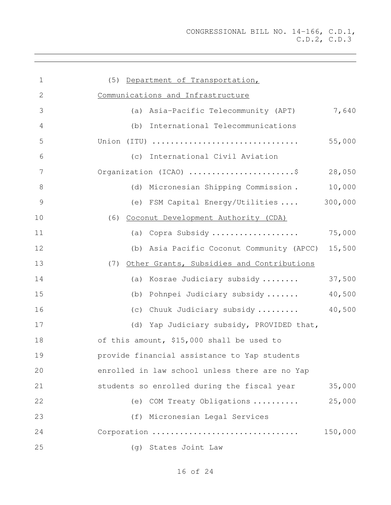| $\mathbf 1$   | (5) Department of Transportation,              |         |
|---------------|------------------------------------------------|---------|
| 2             | Communications and Infrastructure              |         |
| 3             | (a) Asia-Pacific Telecommunity (APT)           | 7,640   |
| 4             | (b) International Telecommunications           |         |
| 5             | Union (ITU)                                    | 55,000  |
| 6             | (c) International Civil Aviation               |         |
| 7             | Organization (ICAO) \$                         | 28,050  |
| $\,8\,$       | (d) Micronesian Shipping Commission.           | 10,000  |
| $\mathcal{G}$ | (e) FSM Capital Energy/Utilities               | 300,000 |
| 10            | (6) Coconut Development Authority (CDA)        |         |
| 11            | (a) Copra Subsidy                              | 75,000  |
| 12            | (b) Asia Pacific Coconut Community (APCC)      | 15,500  |
| 13            | (7) Other Grants, Subsidies and Contributions  |         |
| 14            | (a) Kosrae Judiciary subsidy                   | 37,500  |
| 15            | (b) Pohnpei Judiciary subsidy                  | 40,500  |
| 16            | (c) Chuuk Judiciary subsidy                    | 40,500  |
| 17            | (d) Yap Judiciary subsidy, PROVIDED that,      |         |
| 18            | of this amount, \$15,000 shall be used to      |         |
| 19            | provide financial assistance to Yap students   |         |
| 20            | enrolled in law school unless there are no Yap |         |
| 21            | students so enrolled during the fiscal year    | 35,000  |
| 22            | (e) COM Treaty Obligations                     | 25,000  |
| 23            | (f) Micronesian Legal Services                 |         |
| 24            | Corporation                                    | 150,000 |
| 25            | (g) States Joint Law                           |         |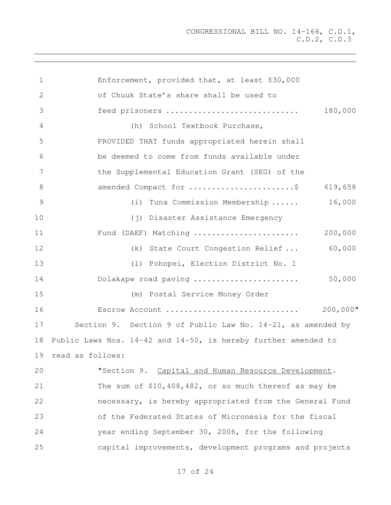Enforcement, provided that, at least \$30,000 of Chuuk State's share shall be used to feed prisoners ............................. 180,000 (h) School Textbook Purchase, PROVIDED THAT funds appropriated herein shall be deemed to come from funds available under the Supplemental Education Grant (SEG) of the amended Compact for .......................\$ 619,658 (i) Tuna Commission Membership ...... 16,000 (j) Disaster Assistance Emergency Fund (DAEF) Matching ....................... 200,000 (k) State Court Congestion Relief ... 60,000 (l) Pohnpei, Election District No. 1 Dolakapw road paving ....................... 50,000 (m) Postal Service Money Order Escrow Account ............................. 200,000" Section 9. Section 9 of Public Law No. 14-21, as amended by Public Laws Nos. 14-42 and 14-50, is hereby further amended to read as follows: "Section 9. Capital and Human Resource Development. The sum of \$10,408,482, or so much thereof as may be necessary, is hereby appropriated from the General Fund of the Federated States of Micronesia for the fiscal year ending September 30, 2006, for the following capital improvements, development programs and projects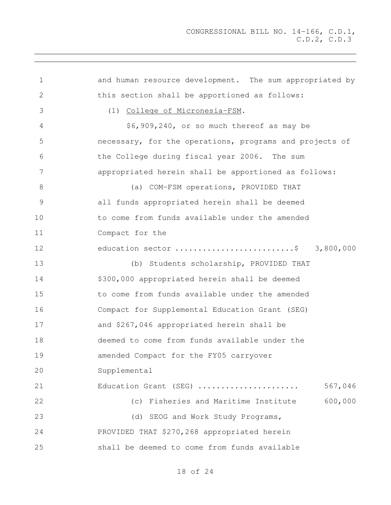1 and human resource development. The sum appropriated by this section shall be apportioned as follows: (1) College of Micronesia-FSM. \$6,909,240, or so much thereof as may be necessary, for the operations, programs and projects of the College during fiscal year 2006. The sum appropriated herein shall be apportioned as follows: 8 (a) COM-FSM operations, PROVIDED THAT all funds appropriated herein shall be deemed to come from funds available under the amended Compact for the education sector ..........................\$ 3,800,000 (b) Students scholarship, PROVIDED THAT \$300,000 appropriated herein shall be deemed to come from funds available under the amended Compact for Supplemental Education Grant (SEG) and \$267,046 appropriated herein shall be deemed to come from funds available under the amended Compact for the FY05 carryover Supplemental Education Grant (SEG) ...................... 567,046 (c) Fisheries and Maritime Institute 600,000 23 (d) SEOG and Work Study Programs, PROVIDED THAT \$270,268 appropriated herein shall be deemed to come from funds available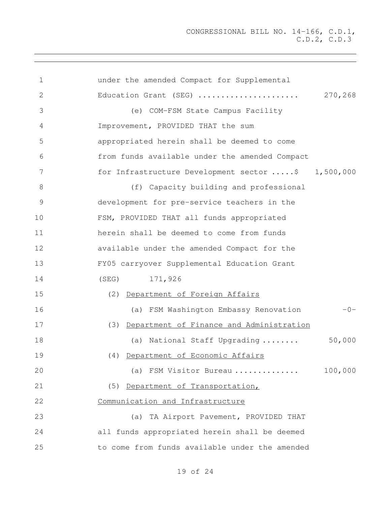| $\mathbf 1$    | under the amended Compact for Supplemental         |         |
|----------------|----------------------------------------------------|---------|
| $\mathbf{2}$   | Education Grant (SEG)                              | 270,268 |
| 3              | (e) COM-FSM State Campus Facility                  |         |
| 4              | Improvement, PROVIDED THAT the sum                 |         |
| 5              | appropriated herein shall be deemed to come        |         |
| 6              | from funds available under the amended Compact     |         |
| $7\phantom{.}$ | for Infrastructure Development sector \$ 1,500,000 |         |
| 8              | (f) Capacity building and professional             |         |
| 9              | development for pre-service teachers in the        |         |
| 10             | FSM, PROVIDED THAT all funds appropriated          |         |
| 11             | herein shall be deemed to come from funds          |         |
| 12             | available under the amended Compact for the        |         |
| 13             | FY05 carryover Supplemental Education Grant        |         |
| 14             | (SEG) 171,926                                      |         |
| 15             | (2) Department of Foreign Affairs                  |         |
| 16             | (a) FSM Washington Embassy Renovation              | $-0-$   |
| 17             | (3) Department of Finance and Administration       |         |
| 18             | (a) National Staff Upgrading                       | 50,000  |
| 19             | (4) Department of Economic Affairs                 |         |
| 20             | (a) FSM Visitor Bureau                             | 100,000 |
| 21             | (5) Department of Transportation,                  |         |
| 22             | Communication and Infrastructure                   |         |
| 23             | (a) TA Airport Pavement, PROVIDED THAT             |         |
| 24             | all funds appropriated herein shall be deemed      |         |
| 25             | to come from funds available under the amended     |         |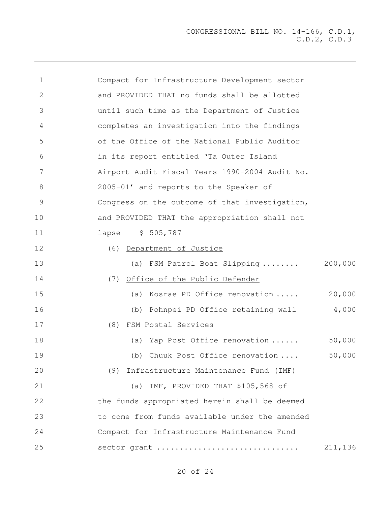| $\mathbf 1$     | Compact for Infrastructure Development sector  |         |
|-----------------|------------------------------------------------|---------|
| 2               | and PROVIDED THAT no funds shall be allotted   |         |
| 3               | until such time as the Department of Justice   |         |
| $\overline{4}$  | completes an investigation into the findings   |         |
| 5               | of the Office of the National Public Auditor   |         |
| 6               | in its report entitled 'Ta Outer Island        |         |
| $7\phantom{.0}$ | Airport Audit Fiscal Years 1990-2004 Audit No. |         |
| 8               | 2005-01' and reports to the Speaker of         |         |
| $\mathcal{G}$   | Congress on the outcome of that investigation, |         |
| 10              | and PROVIDED THAT the appropriation shall not  |         |
| 11              | lapse \$ 505,787                               |         |
| 12              | (6) Department of Justice                      |         |
| 13              | (a) FSM Patrol Boat Slipping  200,000          |         |
| 14              | (7) Office of the Public Defender              |         |
| 15              | (a) Kosrae PD Office renovation                | 20,000  |
| 16              | (b) Pohnpei PD Office retaining wall           | 4,000   |
| 17              | (8) FSM Postal Services                        |         |
| 18              | (a) Yap Post Office renovation                 | 50,000  |
| 19              | Chuuk Post Office renovation<br>(b)            | 50,000  |
| 20              | (9) Infrastructure Maintenance Fund (IMF)      |         |
| 21              | (a) IMF, PROVIDED THAT \$105,568 of            |         |
| 22              | the funds appropriated herein shall be deemed  |         |
| 23              | to come from funds available under the amended |         |
| 24              | Compact for Infrastructure Maintenance Fund    |         |
| 25              | sector grant                                   | 211,136 |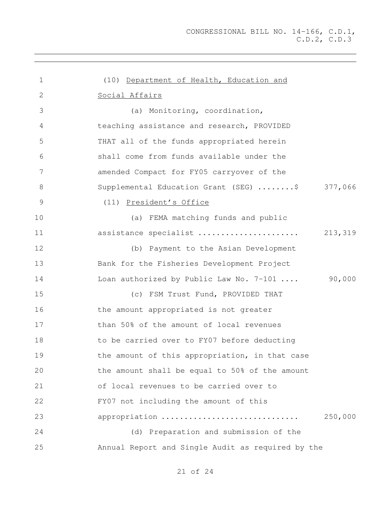| $\mathbf 1$    | (10) Department of Health, Education and          |
|----------------|---------------------------------------------------|
| $\mathbf{2}$   | Social Affairs                                    |
| 3              | (a) Monitoring, coordination,                     |
| $\overline{4}$ | teaching assistance and research, PROVIDED        |
| 5              | THAT all of the funds appropriated herein         |
| 6              | shall come from funds available under the         |
| 7              | amended Compact for FY05 carryover of the         |
| $\,8\,$        | Supplemental Education Grant (SEG) \$ 377,066     |
| $\mathcal{G}$  | (11) President's Office                           |
| 10             | (a) FEMA matching funds and public                |
| 11             | assistance specialist<br>213,319                  |
| 12             | (b) Payment to the Asian Development              |
| 13             | Bank for the Fisheries Development Project        |
| 14             | 90,000<br>Loan authorized by Public Law No. 7-101 |
| 15             | (c) FSM Trust Fund, PROVIDED THAT                 |
| 16             | the amount appropriated is not greater            |
| 17             | than 50% of the amount of local revenues          |
| 18             | to be carried over to FY07 before deducting       |
| 19             | the amount of this appropriation, in that case    |
| 20             | the amount shall be equal to 50% of the amount    |
| 21             | of local revenues to be carried over to           |
| 22             | FY07 not including the amount of this             |
| 23             | appropriation<br>250,000                          |
| 24             | (d) Preparation and submission of the             |
| 25             | Annual Report and Single Audit as required by the |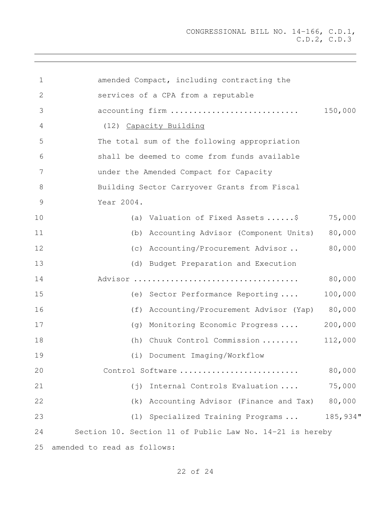| $\mathbf 1$     | amended Compact, including contracting the               |          |  |  |  |  |  |  |  |  |
|-----------------|----------------------------------------------------------|----------|--|--|--|--|--|--|--|--|
| 2               | services of a CPA from a reputable                       |          |  |  |  |  |  |  |  |  |
| 3               | accounting firm                                          | 150,000  |  |  |  |  |  |  |  |  |
| 4               | (12) Capacity Building                                   |          |  |  |  |  |  |  |  |  |
| 5               | The total sum of the following appropriation             |          |  |  |  |  |  |  |  |  |
| 6               | shall be deemed to come from funds available             |          |  |  |  |  |  |  |  |  |
| $7\phantom{.0}$ | under the Amended Compact for Capacity                   |          |  |  |  |  |  |  |  |  |
| $8\,$           | Building Sector Carryover Grants from Fiscal             |          |  |  |  |  |  |  |  |  |
| 9               | Year 2004.                                               |          |  |  |  |  |  |  |  |  |
| 10              | (a) Valuation of Fixed Assets \$                         | 75,000   |  |  |  |  |  |  |  |  |
| 11              | (b) Accounting Advisor (Component Units)                 | 80,000   |  |  |  |  |  |  |  |  |
| 12              | (c) Accounting/Procurement Advisor                       | 80,000   |  |  |  |  |  |  |  |  |
| 13              | (d) Budget Preparation and Execution                     |          |  |  |  |  |  |  |  |  |
| 14              |                                                          | 80,000   |  |  |  |  |  |  |  |  |
| 15              | (e) Sector Performance Reporting                         | 100,000  |  |  |  |  |  |  |  |  |
| 16              | Accounting/Procurement Advisor (Yap)<br>(f)              | 80,000   |  |  |  |  |  |  |  |  |
| 17              | Monitoring Economic Progress<br>(q)                      | 200,000  |  |  |  |  |  |  |  |  |
| 18              | Chuuk Control Commission<br>(h)                          | 112,000  |  |  |  |  |  |  |  |  |
| 19              | (i) Document Imaging/Workflow                            |          |  |  |  |  |  |  |  |  |
| 20              | Control Software                                         | 80,000   |  |  |  |  |  |  |  |  |
| 21              | Internal Controls Evaluation<br>$(\dagger)$              | 75,000   |  |  |  |  |  |  |  |  |
| 22              | Accounting Advisor (Finance and Tax)<br>(k)              | 80,000   |  |  |  |  |  |  |  |  |
| 23              | (1) Specialized Training Programs                        | 185,934" |  |  |  |  |  |  |  |  |
| 24              | Section 10. Section 11 of Public Law No. 14-21 is hereby |          |  |  |  |  |  |  |  |  |
| 25              | amended to read as follows:                              |          |  |  |  |  |  |  |  |  |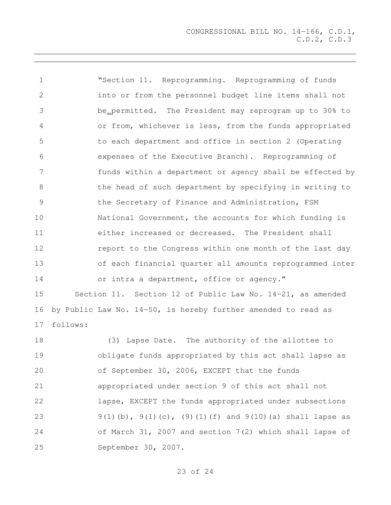| $\mathbf 1$   | "Section 11. Reprogramming. Reprogramming of funds                 |
|---------------|--------------------------------------------------------------------|
| 2             | into or from the personnel budget line items shall not             |
| 3             | be_permitted. The President may reprogram up to 30% to             |
| 4             | or from, whichever is less, from the funds appropriated            |
| 5             | to each department and office in section 2 (Operating              |
| 6             | expenses of the Executive Branch). Reprogramming of                |
| 7             | funds within a department or agency shall be effected by           |
| 8             | the head of such department by specifying in writing to            |
| $\mathcal{G}$ | the Secretary of Finance and Administration, FSM                   |
| 10            | National Government, the accounts for which funding is             |
| 11            | either increased or decreased. The President shall                 |
| 12            | report to the Congress within one month of the last day            |
| 13            | of each financial quarter all amounts reprogrammed inter           |
| 14            | or intra a department, office or agency."                          |
| 15            | Section 11. Section 12 of Public Law No. 14-21, as amended         |
| 16            | by Public Law No. 14-50, is hereby further amended to read as      |
| 17            | follows:                                                           |
| 18            | (3) Lapse Date. The authority of the allottee to                   |
| 19            | obligate funds appropriated by this act shall lapse as             |
| 20            | of September 30, 2006, EXCEPT that the funds                       |
| 21            | appropriated under section 9 of this act shall not                 |
| 22            | lapse, EXCEPT the funds appropriated under subsections             |
| 23            | $9(1)$ (b), $9(1)$ (c), (9) (1) (f) and $9(10)$ (a) shall lapse as |

September 30, 2007.

of 24

of March 31, 2007 and section 7(2) which shall lapse of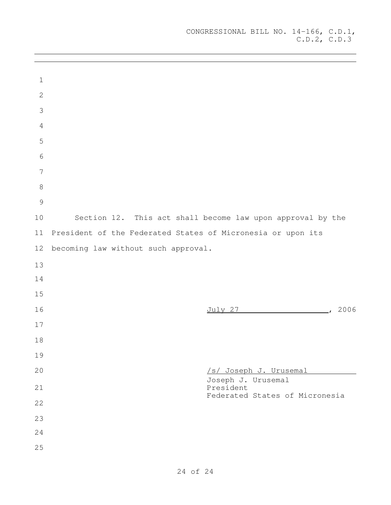| $\mathbf 1$     |                                                                   |
|-----------------|-------------------------------------------------------------------|
| $\mathbf{2}$    |                                                                   |
| $\mathcal{S}$   |                                                                   |
| $\sqrt{4}$      |                                                                   |
| 5               |                                                                   |
| $\sqrt{6}$      |                                                                   |
| $7\phantom{.0}$ |                                                                   |
| $\,8\,$         |                                                                   |
| 9               |                                                                   |
| $10$            | Section 12. This act shall become law upon approval by the        |
| 11              | President of the Federated States of Micronesia or upon its       |
| 12              | becoming law without such approval.                               |
| 13              |                                                                   |
| 14              |                                                                   |
| 15              |                                                                   |
| 16              | July 27 (2006)                                                    |
| 17              |                                                                   |
| $18$            |                                                                   |
| 19              |                                                                   |
| 20              | /s/ Joseph J. Urusemal                                            |
| 21              | Joseph J. Urusemal<br>President<br>Federated States of Micronesia |
| 22              |                                                                   |
| 23              |                                                                   |
| 24              |                                                                   |
| 25              |                                                                   |